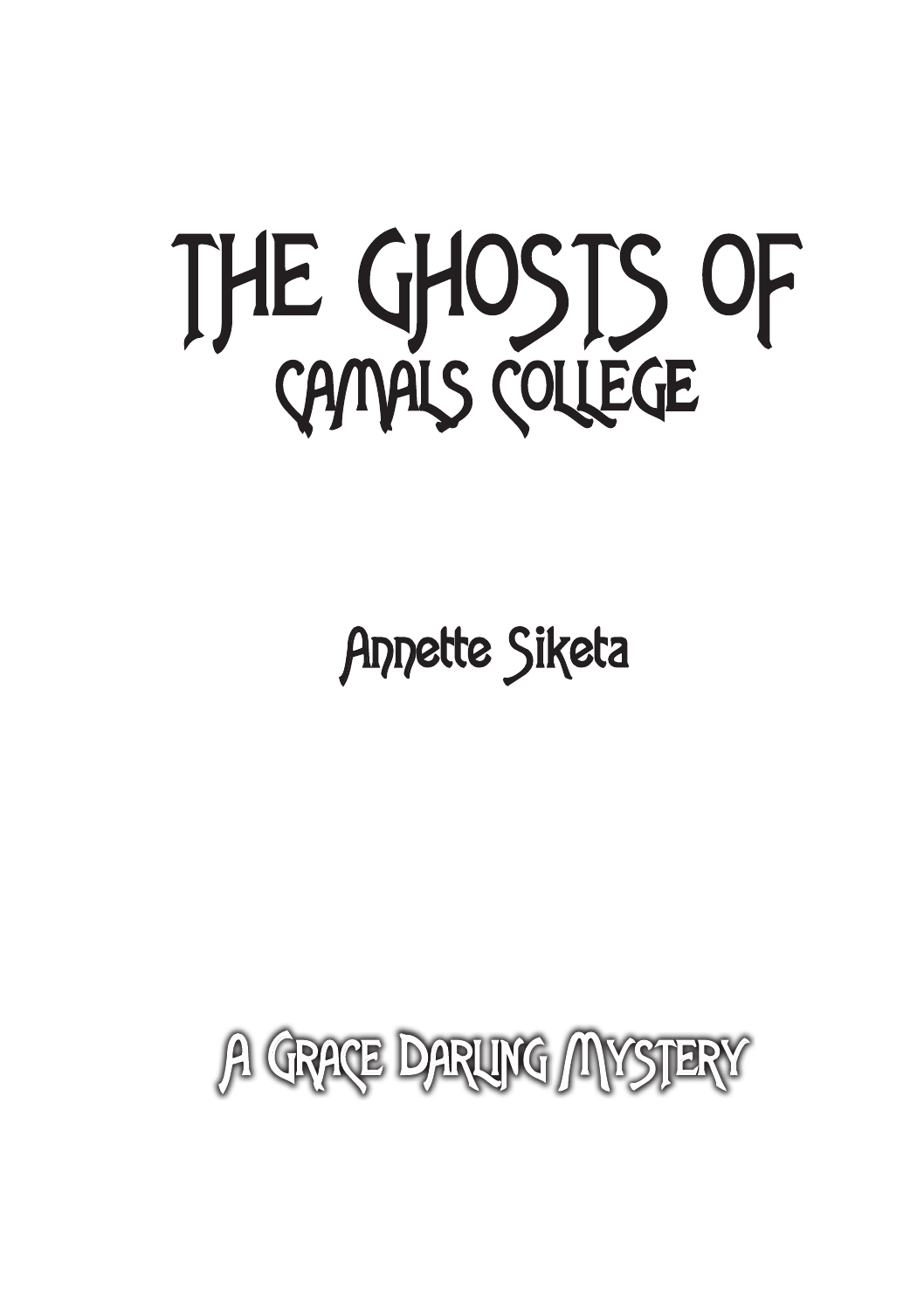

## Annette Siketa

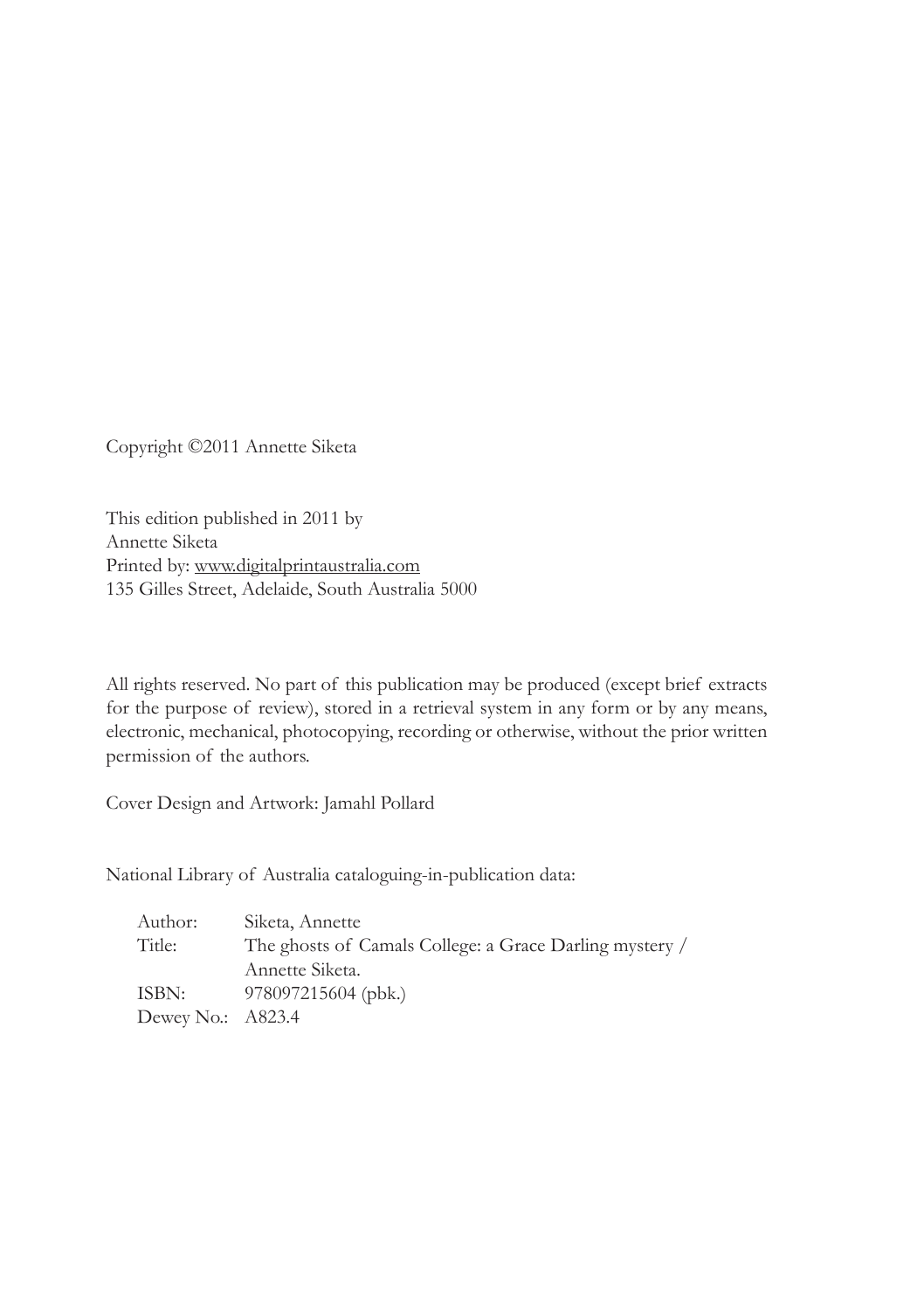Copyright ©2011 Annette Siketa

This edition published in 2011 by Annette Siketa Printed by: www.digitalprintaustralia.com 135 Gilles Street, Adelaide, South Australia 5000

All rights reserved. No part of this publication may be produced (except brief extracts for the purpose of review), stored in a retrieval system in any form or by any means, electronic, mechanical, photocopying, recording or otherwise, without the prior written permission of the authors.

Cover Design and Artwork: Jamahl Pollard

National Library of Australia cataloguing-in-publication data:

| Author:             | Siketa, Annette                                         |
|---------------------|---------------------------------------------------------|
| Title:              | The ghosts of Camals College: a Grace Darling mystery / |
|                     | Annette Siketa.                                         |
| ISBN:               | 978097215604 (pbk.)                                     |
| Dewey No.: $A823.4$ |                                                         |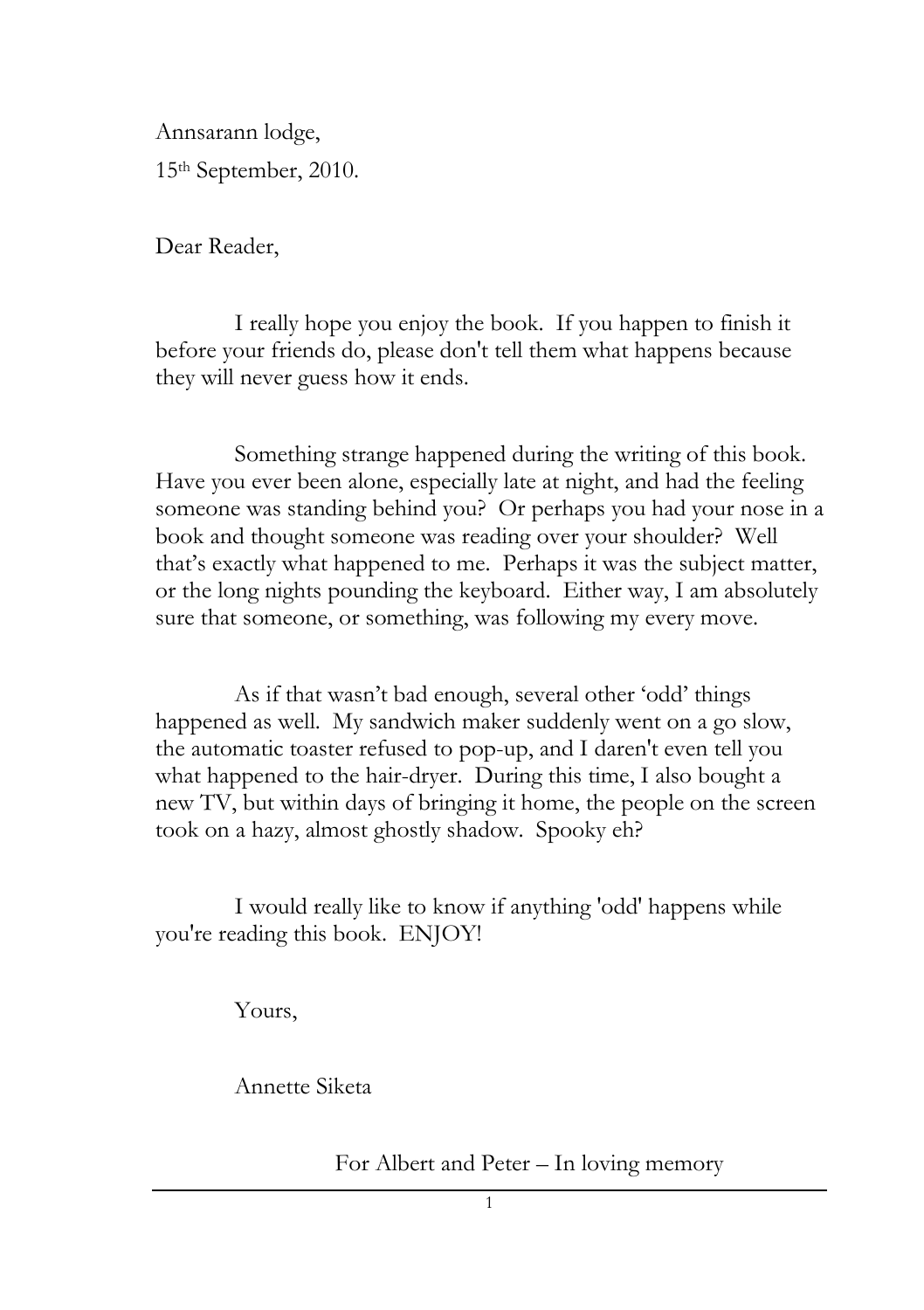Annsarann lodge, 15th September, 2010.

Dear Reader,

I really hope you enjoy the book. If you happen to finish it before your friends do, please don't tell them what happens because they will never guess how it ends.

Something strange happened during the writing of this book. Have you ever been alone, especially late at night, and had the feeling someone was standing behind you? Or perhaps you had your nose in a book and thought someone was reading over your shoulder? Well that"s exactly what happened to me. Perhaps it was the subject matter, or the long nights pounding the keyboard. Either way, I am absolutely sure that someone, or something, was following my every move.

As if that wasn"t bad enough, several other "odd" things happened as well. My sandwich maker suddenly went on a go slow, the automatic toaster refused to pop-up, and I daren't even tell you what happened to the hair-dryer. During this time, I also bought a new TV, but within days of bringing it home, the people on the screen took on a hazy, almost ghostly shadow. Spooky eh?

I would really like to know if anything 'odd' happens while you're reading this book. ENJOY!

Yours,

Annette Siketa

For Albert and Peter – In loving memory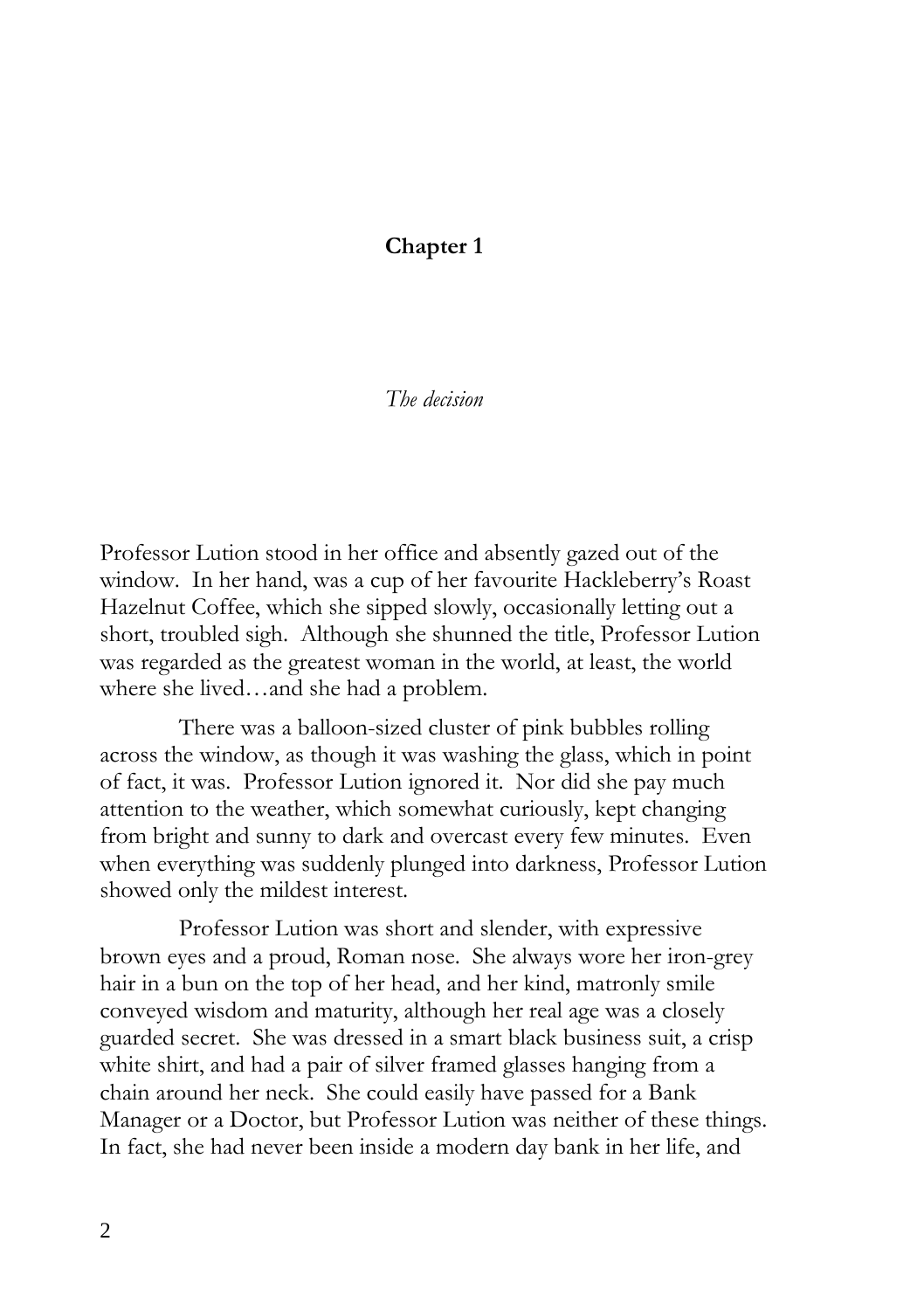## **Chapter 1**

## *The decision*

Professor Lution stood in her office and absently gazed out of the window. In her hand, was a cup of her favourite Hackleberry's Roast Hazelnut Coffee, which she sipped slowly, occasionally letting out a short, troubled sigh. Although she shunned the title, Professor Lution was regarded as the greatest woman in the world, at least, the world where she lived…and she had a problem.

There was a balloon-sized cluster of pink bubbles rolling across the window, as though it was washing the glass, which in point of fact, it was. Professor Lution ignored it. Nor did she pay much attention to the weather, which somewhat curiously, kept changing from bright and sunny to dark and overcast every few minutes. Even when everything was suddenly plunged into darkness, Professor Lution showed only the mildest interest.

Professor Lution was short and slender, with expressive brown eyes and a proud, Roman nose. She always wore her iron-grey hair in a bun on the top of her head, and her kind, matronly smile conveyed wisdom and maturity, although her real age was a closely guarded secret. She was dressed in a smart black business suit, a crisp white shirt, and had a pair of silver framed glasses hanging from a chain around her neck. She could easily have passed for a Bank Manager or a Doctor, but Professor Lution was neither of these things. In fact, she had never been inside a modern day bank in her life, and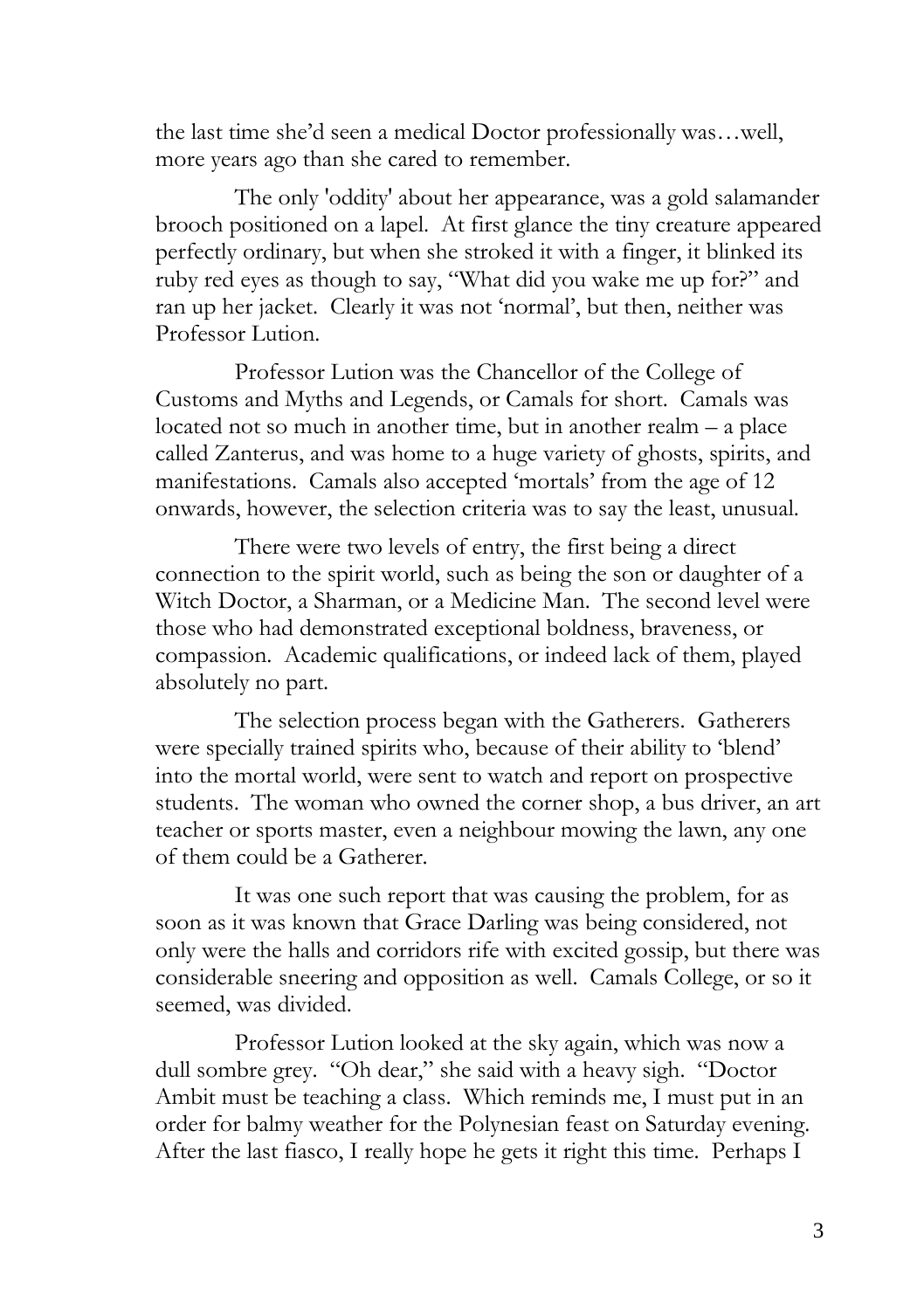the last time she"d seen a medical Doctor professionally was…well, more years ago than she cared to remember.

The only 'oddity' about her appearance, was a gold salamander brooch positioned on a lapel. At first glance the tiny creature appeared perfectly ordinary, but when she stroked it with a finger, it blinked its ruby red eyes as though to say, "What did you wake me up for?" and ran up her jacket. Clearly it was not "normal", but then, neither was Professor Lution.

Professor Lution was the Chancellor of the College of Customs and Myths and Legends, or Camals for short. Camals was located not so much in another time, but in another realm – a place called Zanterus, and was home to a huge variety of ghosts, spirits, and manifestations. Camals also accepted 'mortals' from the age of 12 onwards, however, the selection criteria was to say the least, unusual.

There were two levels of entry, the first being a direct connection to the spirit world, such as being the son or daughter of a Witch Doctor, a Sharman, or a Medicine Man. The second level were those who had demonstrated exceptional boldness, braveness, or compassion. Academic qualifications, or indeed lack of them, played absolutely no part.

The selection process began with the Gatherers. Gatherers were specially trained spirits who, because of their ability to "blend" into the mortal world, were sent to watch and report on prospective students. The woman who owned the corner shop, a bus driver, an art teacher or sports master, even a neighbour mowing the lawn, any one of them could be a Gatherer.

It was one such report that was causing the problem, for as soon as it was known that Grace Darling was being considered, not only were the halls and corridors rife with excited gossip, but there was considerable sneering and opposition as well. Camals College, or so it seemed, was divided.

Professor Lution looked at the sky again, which was now a dull sombre grey. "Oh dear," she said with a heavy sigh. "Doctor Ambit must be teaching a class. Which reminds me, I must put in an order for balmy weather for the Polynesian feast on Saturday evening. After the last fiasco, I really hope he gets it right this time. Perhaps I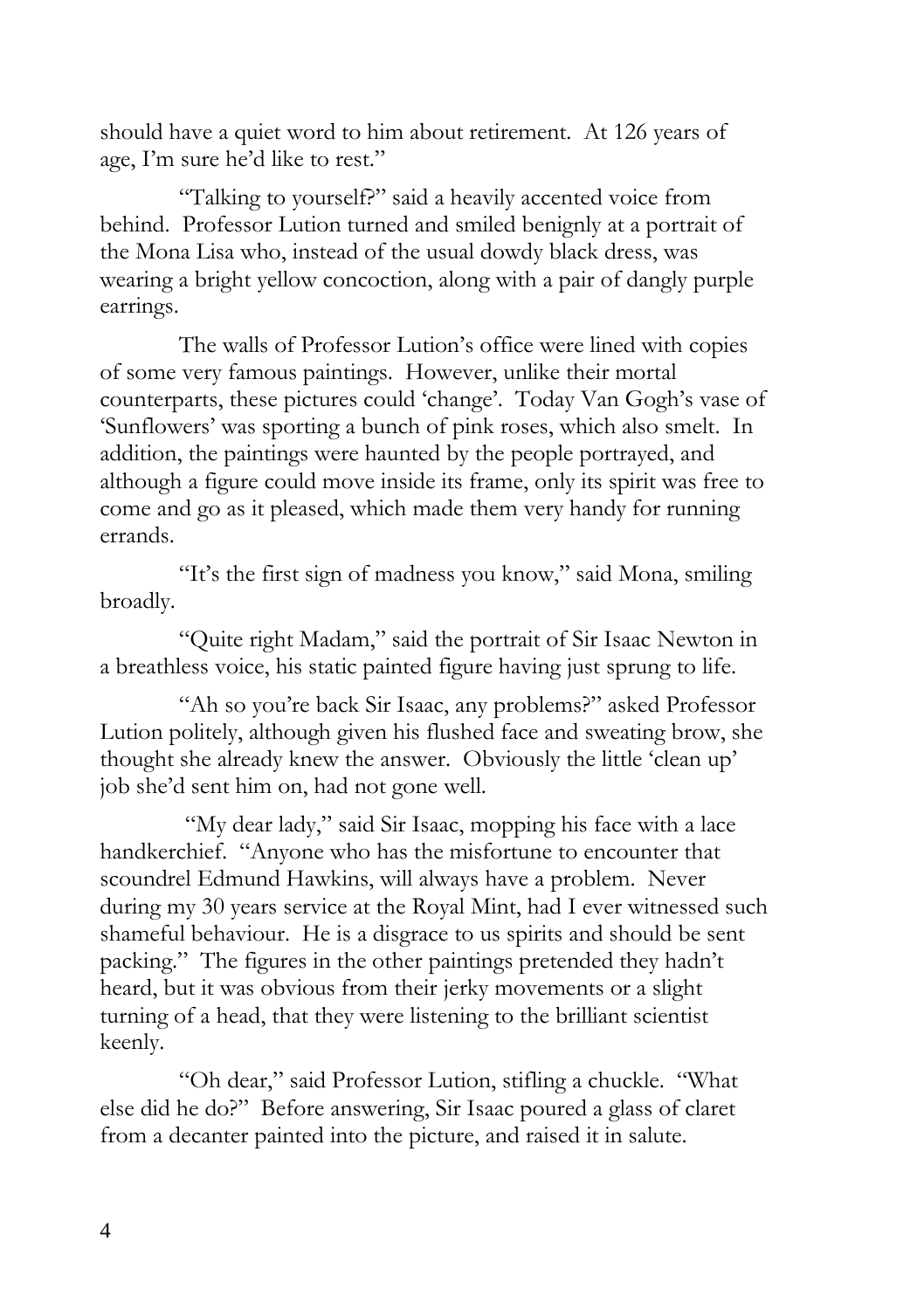should have a quiet word to him about retirement. At 126 years of age, I'm sure he'd like to rest."

"Talking to yourself?" said a heavily accented voice from behind. Professor Lution turned and smiled benignly at a portrait of the Mona Lisa who, instead of the usual dowdy black dress, was wearing a bright yellow concoction, along with a pair of dangly purple earrings.

The walls of Professor Lution"s office were lined with copies of some very famous paintings. However, unlike their mortal counterparts, these pictures could 'change'. Today Van Gogh's vase of "Sunflowers" was sporting a bunch of pink roses, which also smelt. In addition, the paintings were haunted by the people portrayed, and although a figure could move inside its frame, only its spirit was free to come and go as it pleased, which made them very handy for running errands.

"It"s the first sign of madness you know," said Mona, smiling broadly.

"Quite right Madam," said the portrait of Sir Isaac Newton in a breathless voice, his static painted figure having just sprung to life.

"Ah so you"re back Sir Isaac, any problems?" asked Professor Lution politely, although given his flushed face and sweating brow, she thought she already knew the answer. Obviously the little 'clean up' job she"d sent him on, had not gone well.

"My dear lady," said Sir Isaac, mopping his face with a lace handkerchief. "Anyone who has the misfortune to encounter that scoundrel Edmund Hawkins, will always have a problem. Never during my 30 years service at the Royal Mint, had I ever witnessed such shameful behaviour. He is a disgrace to us spirits and should be sent packing." The figures in the other paintings pretended they hadn"t heard, but it was obvious from their jerky movements or a slight turning of a head, that they were listening to the brilliant scientist keenly.

"Oh dear," said Professor Lution, stifling a chuckle. "What else did he do?" Before answering, Sir Isaac poured a glass of claret from a decanter painted into the picture, and raised it in salute.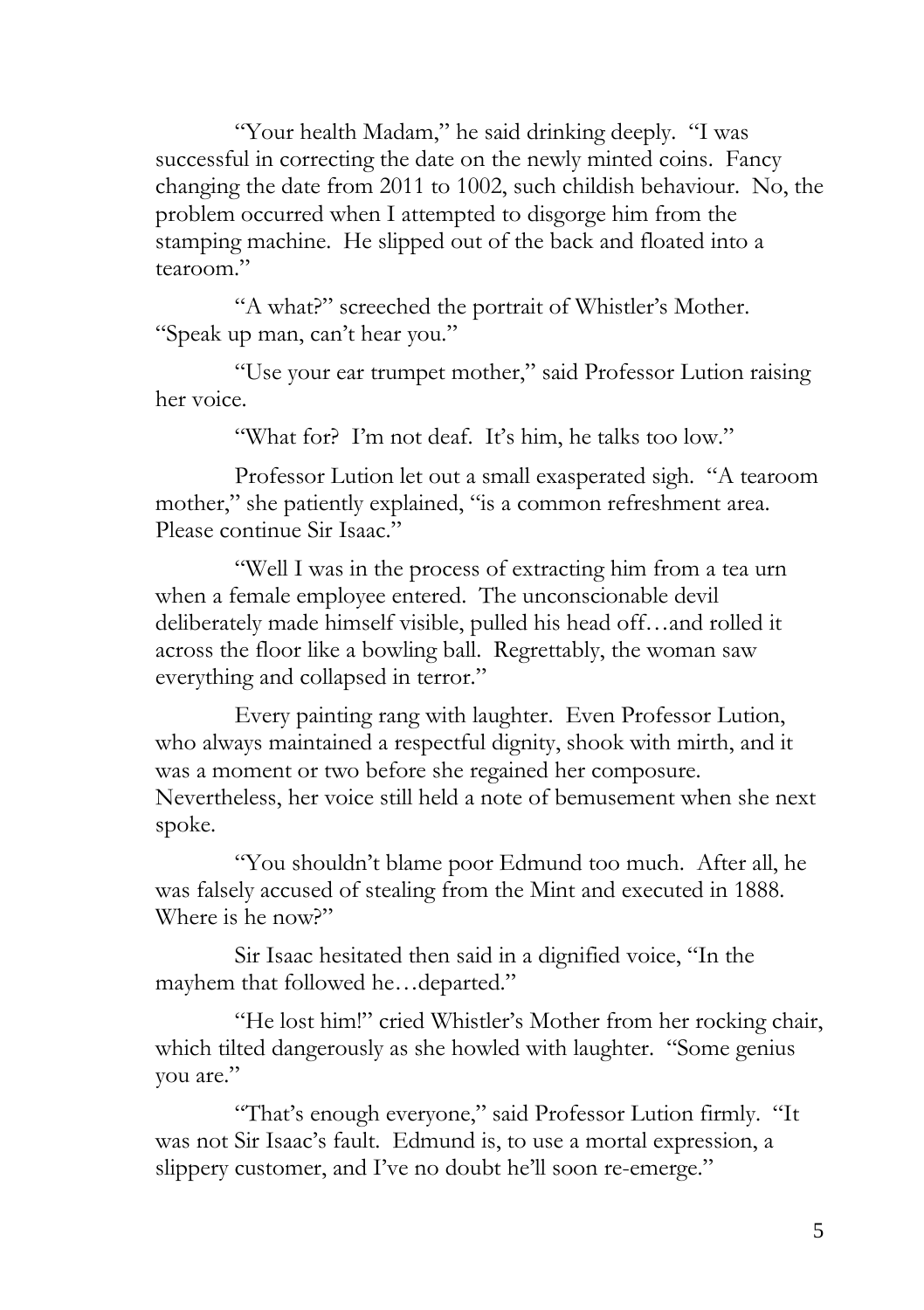"Your health Madam," he said drinking deeply. "I was successful in correcting the date on the newly minted coins. Fancy changing the date from 2011 to 1002, such childish behaviour. No, the problem occurred when I attempted to disgorge him from the stamping machine. He slipped out of the back and floated into a tearoom"

"A what?" screeched the portrait of Whistler's Mother. "Speak up man, can"t hear you."

"Use your ear trumpet mother," said Professor Lution raising her voice.

"What for? I'm not deaf. It's him, he talks too low."

Professor Lution let out a small exasperated sigh. "A tearoom mother," she patiently explained, "is a common refreshment area. Please continue Sir Isaac."

"Well I was in the process of extracting him from a tea urn when a female employee entered. The unconscionable devil deliberately made himself visible, pulled his head off…and rolled it across the floor like a bowling ball. Regrettably, the woman saw everything and collapsed in terror."

Every painting rang with laughter. Even Professor Lution, who always maintained a respectful dignity, shook with mirth, and it was a moment or two before she regained her composure. Nevertheless, her voice still held a note of bemusement when she next spoke.

"You shouldn"t blame poor Edmund too much. After all, he was falsely accused of stealing from the Mint and executed in 1888. Where is he now?"

Sir Isaac hesitated then said in a dignified voice, "In the mayhem that followed he…departed."

"He lost him!" cried Whistler"s Mother from her rocking chair, which tilted dangerously as she howled with laughter. "Some genius you are."

"That"s enough everyone," said Professor Lution firmly. "It was not Sir Isaac's fault. Edmund is, to use a mortal expression, a slippery customer, and I've no doubt he'll soon re-emerge."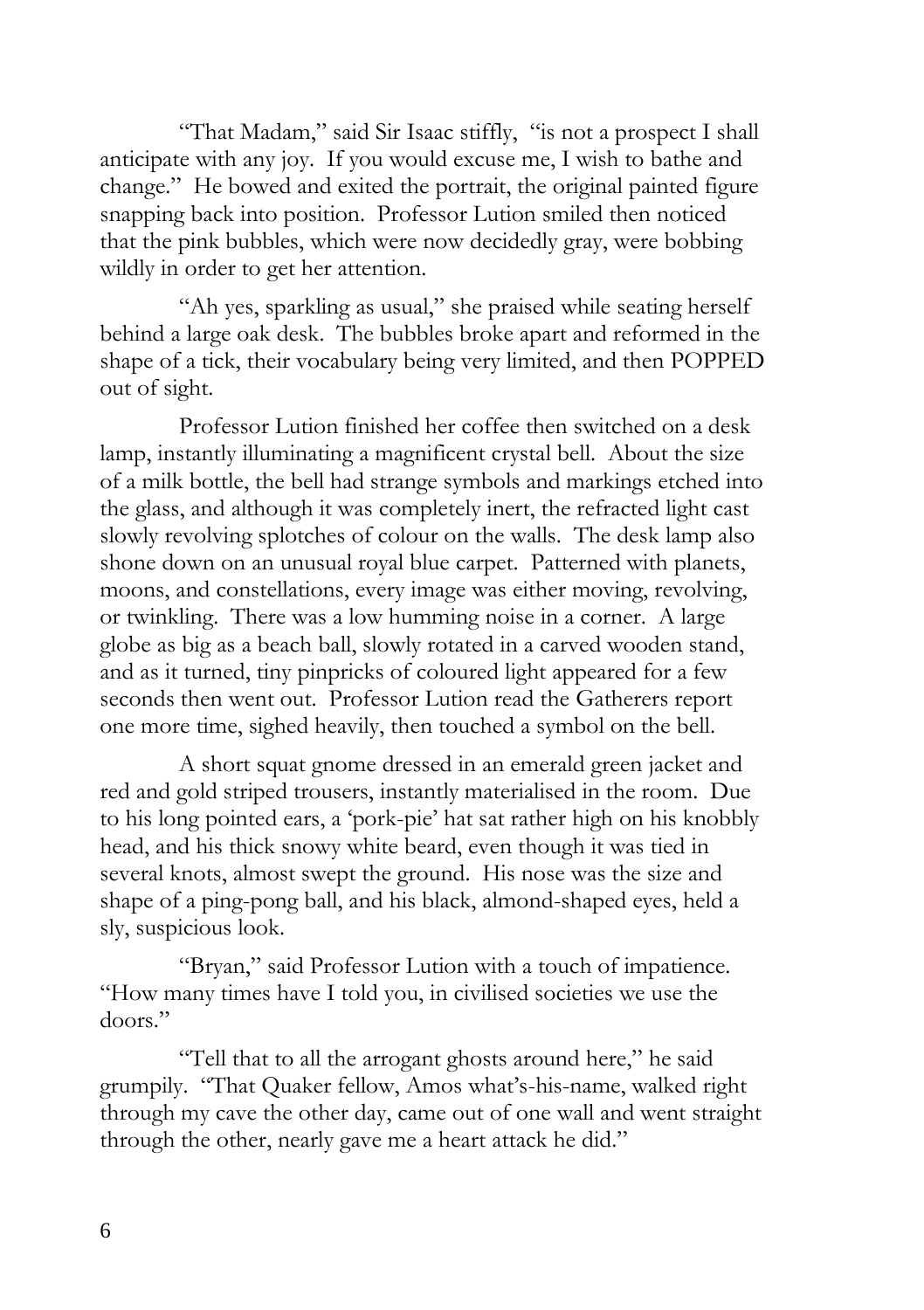"That Madam," said Sir Isaac stiffly, "is not a prospect I shall anticipate with any joy. If you would excuse me, I wish to bathe and change." He bowed and exited the portrait, the original painted figure snapping back into position. Professor Lution smiled then noticed that the pink bubbles, which were now decidedly gray, were bobbing wildly in order to get her attention.

"Ah yes, sparkling as usual," she praised while seating herself behind a large oak desk. The bubbles broke apart and reformed in the shape of a tick, their vocabulary being very limited, and then POPPED out of sight.

Professor Lution finished her coffee then switched on a desk lamp, instantly illuminating a magnificent crystal bell. About the size of a milk bottle, the bell had strange symbols and markings etched into the glass, and although it was completely inert, the refracted light cast slowly revolving splotches of colour on the walls. The desk lamp also shone down on an unusual royal blue carpet. Patterned with planets, moons, and constellations, every image was either moving, revolving, or twinkling. There was a low humming noise in a corner. A large globe as big as a beach ball, slowly rotated in a carved wooden stand, and as it turned, tiny pinpricks of coloured light appeared for a few seconds then went out. Professor Lution read the Gatherers report one more time, sighed heavily, then touched a symbol on the bell.

A short squat gnome dressed in an emerald green jacket and red and gold striped trousers, instantly materialised in the room. Due to his long pointed ears, a "pork-pie" hat sat rather high on his knobbly head, and his thick snowy white beard, even though it was tied in several knots, almost swept the ground. His nose was the size and shape of a ping-pong ball, and his black, almond-shaped eyes, held a sly, suspicious look.

"Bryan," said Professor Lution with a touch of impatience. "How many times have I told you, in civilised societies we use the doors."

"Tell that to all the arrogant ghosts around here," he said grumpily. "That Quaker fellow, Amos what"s-his-name, walked right through my cave the other day, came out of one wall and went straight through the other, nearly gave me a heart attack he did."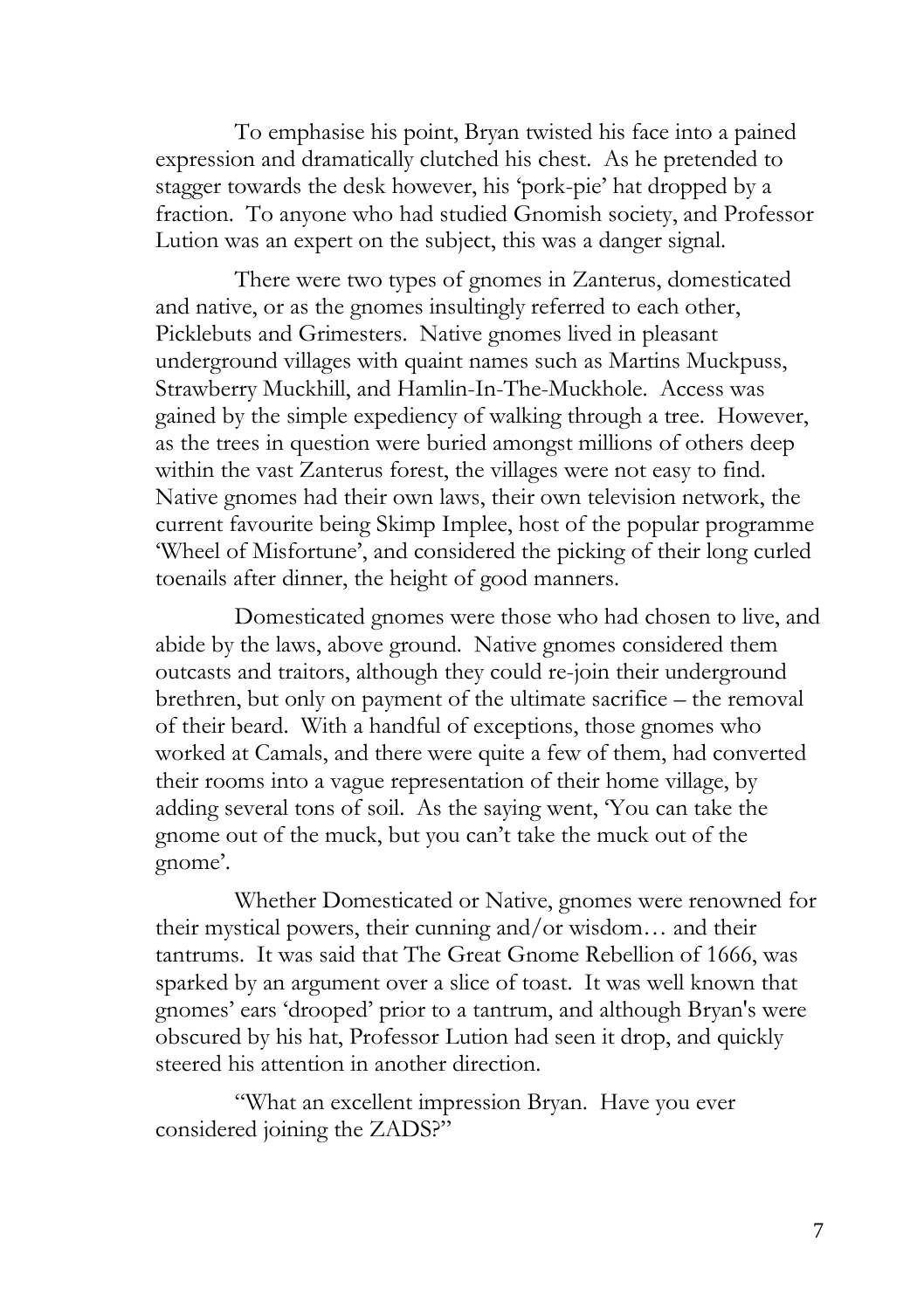To emphasise his point, Bryan twisted his face into a pained expression and dramatically clutched his chest. As he pretended to stagger towards the desk however, his "pork-pie" hat dropped by a fraction. To anyone who had studied Gnomish society, and Professor Lution was an expert on the subject, this was a danger signal.

There were two types of gnomes in Zanterus, domesticated and native, or as the gnomes insultingly referred to each other, Picklebuts and Grimesters. Native gnomes lived in pleasant underground villages with quaint names such as Martins Muckpuss, Strawberry Muckhill, and Hamlin-In-The-Muckhole. Access was gained by the simple expediency of walking through a tree. However, as the trees in question were buried amongst millions of others deep within the vast Zanterus forest, the villages were not easy to find. Native gnomes had their own laws, their own television network, the current favourite being Skimp Implee, host of the popular programme "Wheel of Misfortune", and considered the picking of their long curled toenails after dinner, the height of good manners.

Domesticated gnomes were those who had chosen to live, and abide by the laws, above ground. Native gnomes considered them outcasts and traitors, although they could re-join their underground brethren, but only on payment of the ultimate sacrifice – the removal of their beard. With a handful of exceptions, those gnomes who worked at Camals, and there were quite a few of them, had converted their rooms into a vague representation of their home village, by adding several tons of soil. As the saying went, "You can take the gnome out of the muck, but you can"t take the muck out of the gnome'.

Whether Domesticated or Native, gnomes were renowned for their mystical powers, their cunning and/or wisdom… and their tantrums. It was said that The Great Gnome Rebellion of 1666, was sparked by an argument over a slice of toast. It was well known that gnomes" ears "drooped" prior to a tantrum, and although Bryan's were obscured by his hat, Professor Lution had seen it drop, and quickly steered his attention in another direction.

"What an excellent impression Bryan. Have you ever considered joining the ZADS?"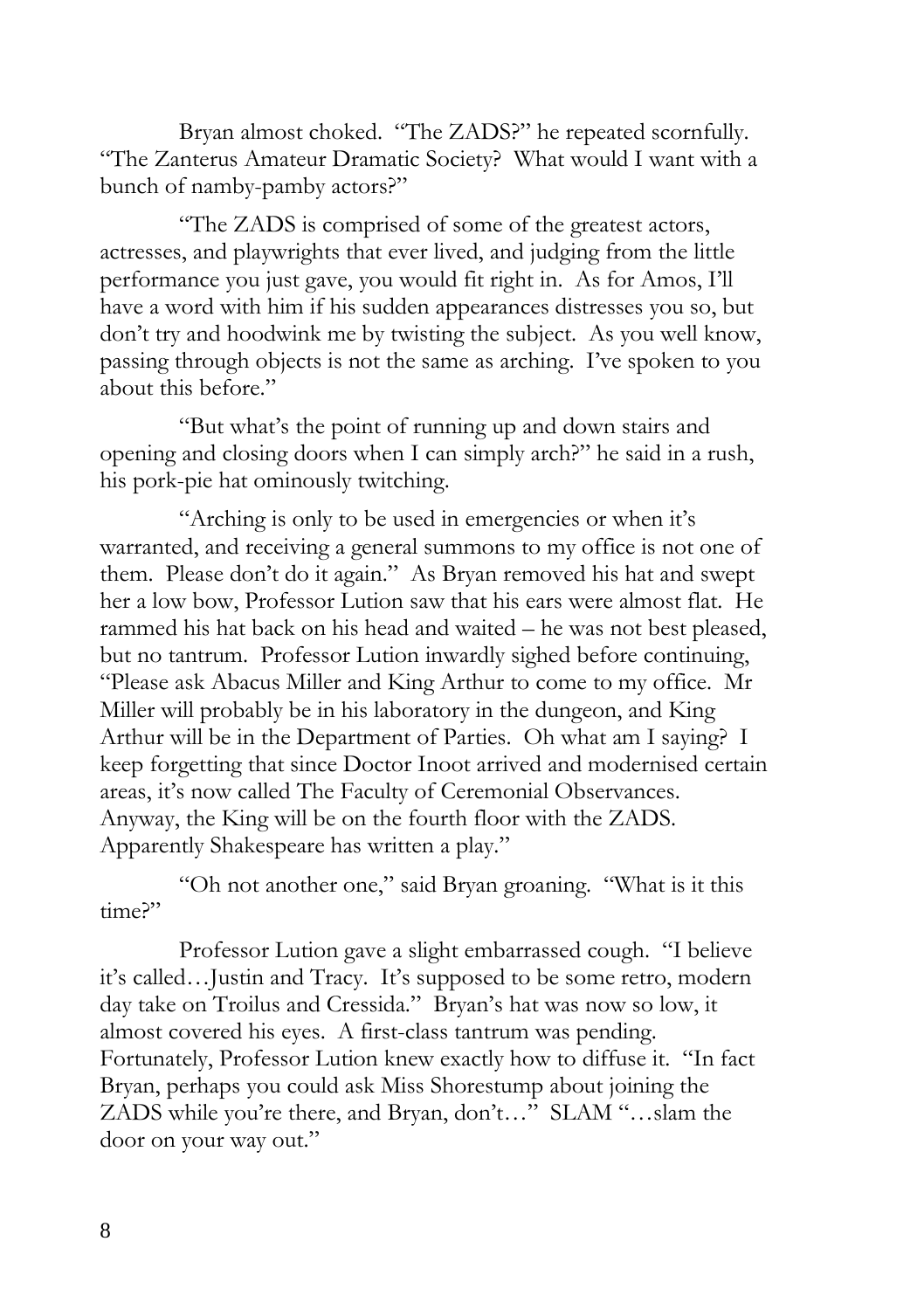Bryan almost choked. "The ZADS?" he repeated scornfully. "The Zanterus Amateur Dramatic Society? What would I want with a bunch of namby-pamby actors?"

"The ZADS is comprised of some of the greatest actors, actresses, and playwrights that ever lived, and judging from the little performance you just gave, you would fit right in. As for Amos, I"ll have a word with him if his sudden appearances distresses you so, but don"t try and hoodwink me by twisting the subject. As you well know, passing through objects is not the same as arching. I"ve spoken to you about this before."

"But what"s the point of running up and down stairs and opening and closing doors when I can simply arch?" he said in a rush, his pork-pie hat ominously twitching.

"Arching is only to be used in emergencies or when it"s warranted, and receiving a general summons to my office is not one of them. Please don"t do it again." As Bryan removed his hat and swept her a low bow, Professor Lution saw that his ears were almost flat. He rammed his hat back on his head and waited – he was not best pleased, but no tantrum. Professor Lution inwardly sighed before continuing, "Please ask Abacus Miller and King Arthur to come to my office. Mr Miller will probably be in his laboratory in the dungeon, and King Arthur will be in the Department of Parties. Oh what am I saying? I keep forgetting that since Doctor Inoot arrived and modernised certain areas, it's now called The Faculty of Ceremonial Observances. Anyway, the King will be on the fourth floor with the ZADS. Apparently Shakespeare has written a play."

"Oh not another one," said Bryan groaning. "What is it this time?"

Professor Lution gave a slight embarrassed cough. "I believe it's called... Justin and Tracy. It's supposed to be some retro, modern day take on Troilus and Cressida." Bryan"s hat was now so low, it almost covered his eyes. A first-class tantrum was pending. Fortunately, Professor Lution knew exactly how to diffuse it. "In fact Bryan, perhaps you could ask Miss Shorestump about joining the ZADS while you're there, and Bryan, don't..." SLAM "...slam the door on your way out."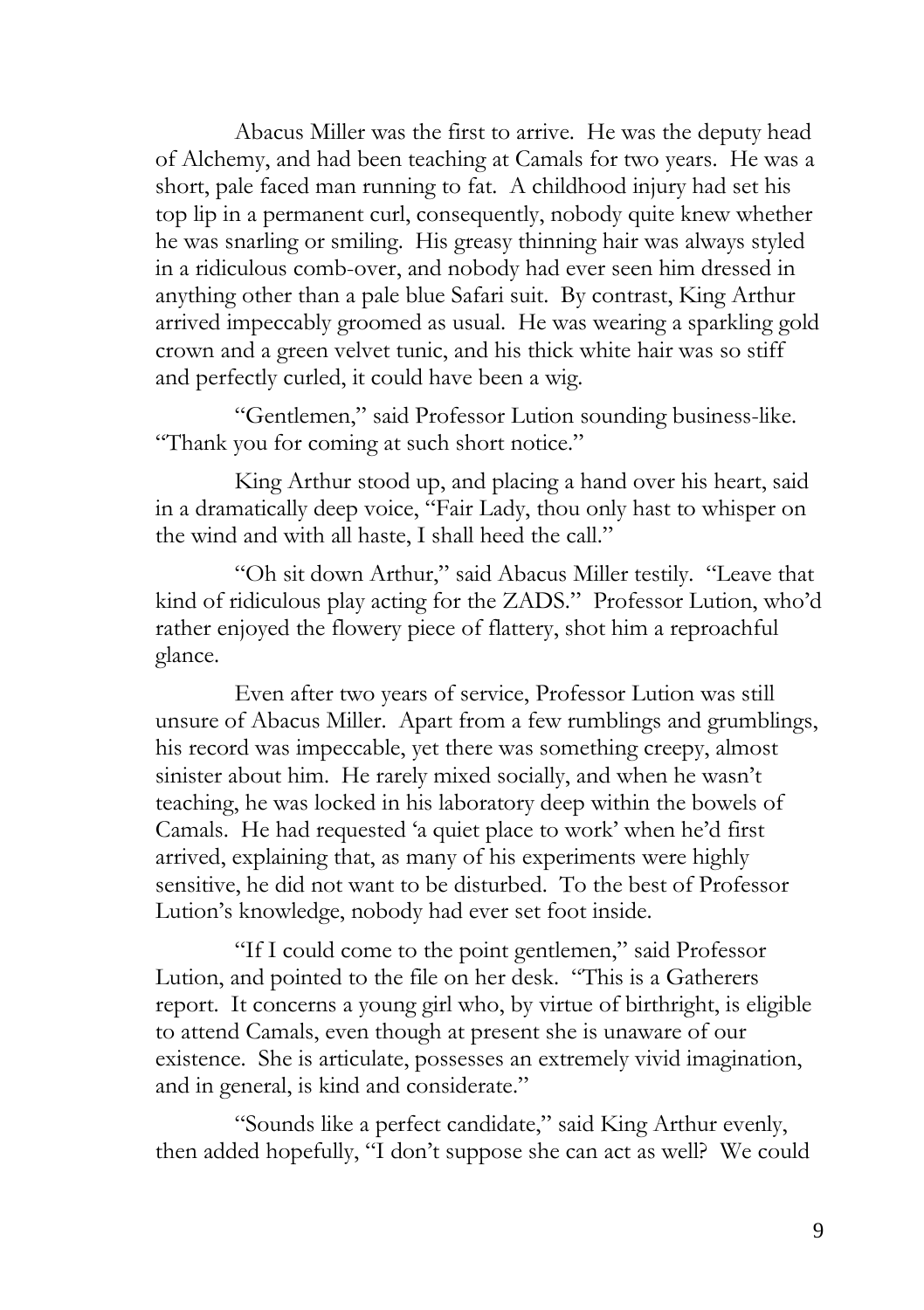Abacus Miller was the first to arrive. He was the deputy head of Alchemy, and had been teaching at Camals for two years. He was a short, pale faced man running to fat. A childhood injury had set his top lip in a permanent curl, consequently, nobody quite knew whether he was snarling or smiling. His greasy thinning hair was always styled in a ridiculous comb-over, and nobody had ever seen him dressed in anything other than a pale blue Safari suit. By contrast, King Arthur arrived impeccably groomed as usual. He was wearing a sparkling gold crown and a green velvet tunic, and his thick white hair was so stiff and perfectly curled, it could have been a wig.

"Gentlemen," said Professor Lution sounding business-like. "Thank you for coming at such short notice."

King Arthur stood up, and placing a hand over his heart, said in a dramatically deep voice, "Fair Lady, thou only hast to whisper on the wind and with all haste, I shall heed the call."

"Oh sit down Arthur," said Abacus Miller testily. "Leave that kind of ridiculous play acting for the ZADS." Professor Lution, who"d rather enjoyed the flowery piece of flattery, shot him a reproachful glance.

Even after two years of service, Professor Lution was still unsure of Abacus Miller. Apart from a few rumblings and grumblings, his record was impeccable, yet there was something creepy, almost sinister about him. He rarely mixed socially, and when he wasn"t teaching, he was locked in his laboratory deep within the bowels of Camals. He had requested "a quiet place to work" when he"d first arrived, explaining that, as many of his experiments were highly sensitive, he did not want to be disturbed. To the best of Professor Lution"s knowledge, nobody had ever set foot inside.

"If I could come to the point gentlemen," said Professor Lution, and pointed to the file on her desk. "This is a Gatherers report. It concerns a young girl who, by virtue of birthright, is eligible to attend Camals, even though at present she is unaware of our existence. She is articulate, possesses an extremely vivid imagination, and in general, is kind and considerate."

"Sounds like a perfect candidate," said King Arthur evenly, then added hopefully, "I don't suppose she can act as well? We could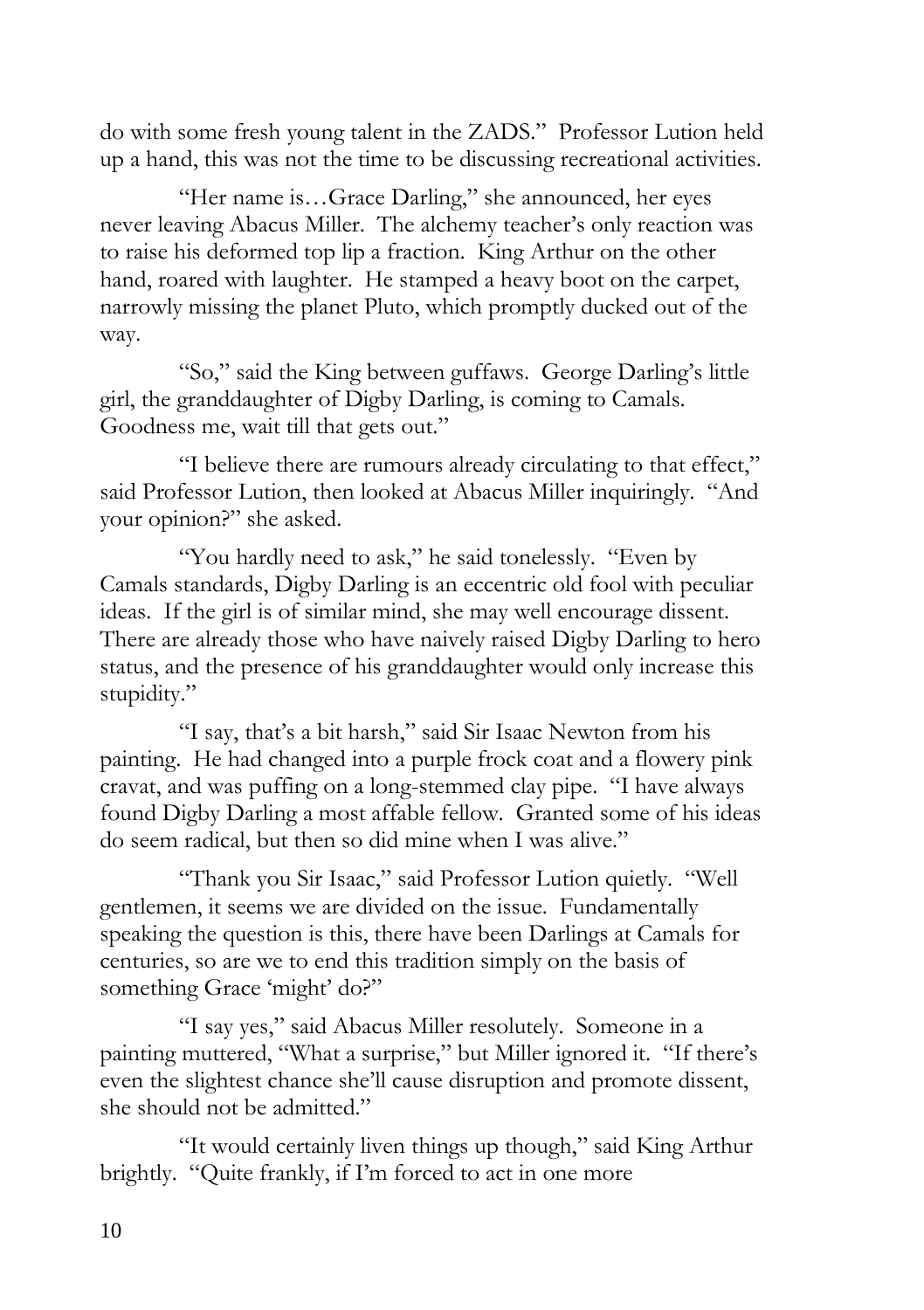do with some fresh young talent in the ZADS." Professor Lution held up a hand, this was not the time to be discussing recreational activities.

"Her name is…Grace Darling," she announced, her eyes never leaving Abacus Miller. The alchemy teacher"s only reaction was to raise his deformed top lip a fraction. King Arthur on the other hand, roared with laughter. He stamped a heavy boot on the carpet, narrowly missing the planet Pluto, which promptly ducked out of the way.

"So," said the King between guffaws. George Darling's little girl, the granddaughter of Digby Darling, is coming to Camals. Goodness me, wait till that gets out."

"I believe there are rumours already circulating to that effect," said Professor Lution, then looked at Abacus Miller inquiringly. "And your opinion?" she asked.

"You hardly need to ask," he said tonelessly. "Even by Camals standards, Digby Darling is an eccentric old fool with peculiar ideas. If the girl is of similar mind, she may well encourage dissent. There are already those who have naively raised Digby Darling to hero status, and the presence of his granddaughter would only increase this stupidity."

"I say, that"s a bit harsh," said Sir Isaac Newton from his painting. He had changed into a purple frock coat and a flowery pink cravat, and was puffing on a long-stemmed clay pipe. "I have always found Digby Darling a most affable fellow. Granted some of his ideas do seem radical, but then so did mine when I was alive."

"Thank you Sir Isaac," said Professor Lution quietly. "Well gentlemen, it seems we are divided on the issue. Fundamentally speaking the question is this, there have been Darlings at Camals for centuries, so are we to end this tradition simply on the basis of something Grace 'might' do?"

"I say yes," said Abacus Miller resolutely. Someone in a painting muttered, "What a surprise," but Miller ignored it. "If there"s even the slightest chance she"ll cause disruption and promote dissent, she should not be admitted."

"It would certainly liven things up though," said King Arthur brightly. "Quite frankly, if I'm forced to act in one more